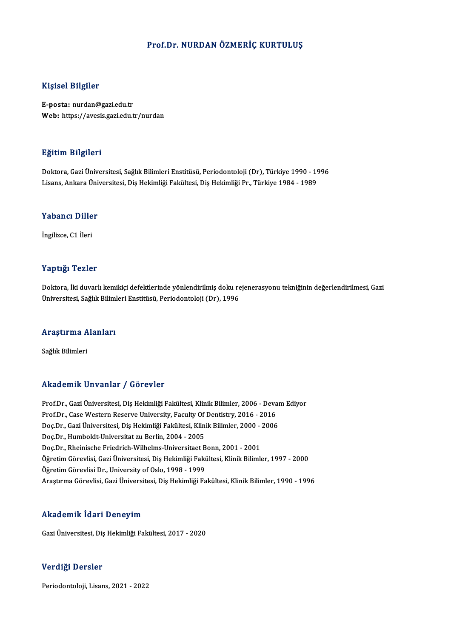## Prof.Dr. NURDAN ÖZMERİÇ KURTULUŞ

## Kişisel Bilgiler

E-posta: nurdan@gazi.edu.tr Web: https://avesis.gazi.edu.tr/nurdan

### Eğitim Bilgileri

**Eğitim Bilgileri**<br>Doktora, Gazi Üniversitesi, Sağlık Bilimleri Enstitüsü, Periodontoloji (Dr), Türkiye 1990 - 1996<br>Lisans, Ankara Üniversitesi, Dis Hokimliği Fakültesi, Dis Hokimliği Pr., Türkiye 1984, 1989 Lisansın Daryasora<br>Doktora, Gazi Üniversitesi, Sağlık Bilimleri Enstitüsü, Periodontoloji (Dr), Türkiye 1990 - 19<br>Lisans, Ankara Üniversitesi, Diş Hekimliği Fakültesi, Diş Hekimliği Pr., Türkiye 1984 - 1989

## Lisans, Ankara Uni<br>Yabancı Diller Y<mark>abancı Dille</mark><br>İngilizce, C1 İleri

# Yaptığı Tezler

Yaptığı Tezler<br>Doktora, İki duvarlı kemikiçi defektlerinde yönlendirilmiş doku rejenerasyonu tekniğinin değerlendirilmesi, Gazi<br>Üniversitesi, Sağlık Bilimleri Enstitüsü, Periodenteleji (Dr), 1996 1 up ugi<br>Doktora, İki duvarlı kemikiçi defektlerinde yönlendirilmiş doku re<br>Üniversitesi, Sağlık Bilimleri Enstitüsü, Periodontoloji (Dr), 1996

## <sub>oniversitesi, saglık bilimi<br>Araştırma Alanları</sub> <mark>Araştırma A</mark><br>Sağlık Bilimleri

# Akademik Unvanlar / Görevler

Akademik Unvanlar / Görevler<br>Prof.Dr., Gazi Üniversitesi, Diş Hekimliği Fakültesi, Klinik Bilimler, 2006 - Devam Ediyor<br>Prof.Dr., Gazi Üniversitesi, Diş Hekimliği Fakültesi, Klinik Bilimler, 2016 - 2016 Prof.Dr., Gazi Üniversitesi, Diş Hekimliği Fakültesi, Klinik Bilimler, 2006 - Deva<br>Prof.Dr., Case Western Reserve University, Faculty Of Dentistry, 2016 - 2016<br>Dee Dr., Casi Üniversitesi, Diş Hekimliği Fakültesi, Klinik Bi Prof.Dr., Gazi Üniversitesi, Diş Hekimliği Fakültesi, Klinik Bilimler, 2006 - Devan<br>Prof.Dr., Case Western Reserve University, Faculty Of Dentistry, 2016 - 2016<br>Doç.Dr., Gazi Üniversitesi, Diş Hekimliği Fakültesi, Klinik B Prof.Dr., Case Western Reserve University, Faculty Of<br>Doç.Dr., Gazi Üniversitesi, Diş Hekimliği Fakültesi, Klin<br>Doç.Dr., Humboldt-Universitat zu Berlin, 2004 - 2005<br>Dos.Dr., Pheinische Friedrich Wilhelms Universitest B Doç.Dr., Gazi Üniversitesi, Diş Hekimliği Fakültesi, Klinik Bilimler, 2000 -<br>Doç.Dr., Humboldt-Universitat zu Berlin, 2004 - 2005<br>Doç.Dr., Rheinische Friedrich-Wilhelms-Universitaet Bonn, 2001 - 2001<br>Öğretim Cörevlisi, Caz Doç.Dr., Humboldt-Universitat zu Berlin, 2004 - 2005<br>Doç.Dr., Rheinische Friedrich-Wilhelms-Universitaet Bonn, 2001 - 2001<br>Öğretim Görevlisi, Gazi Üniversitesi, Diş Hekimliği Fakültesi, Klinik Bilimler, 1997 - 2000<br>Öğretim Doç.Dr., Rheinische Friedrich-Wilhelms-Universitaet Bonn, 2001 - 2001 Araştırma Görevlisi, Gazi Üniversitesi, Diş Hekimliği Fakültesi, Klinik Bilimler, 1990 - 1996

## Akademik İdari Deneyim

GaziÜniversitesi,DişHekimliğiFakültesi,2017 -2020

## Verdiği Dersler

Periodontoloji, Lisans, 2021 - 2022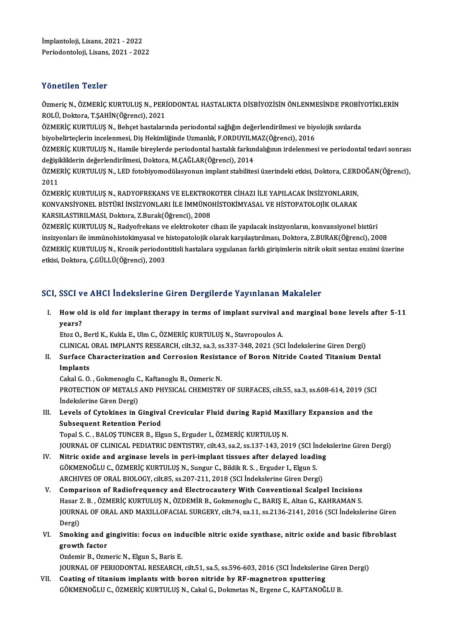Yönetilen Tezler<br>Özmeriç N., ÖZMERİÇ KURTULUŞ N., PERİODONTAL HASTALIKTA DİSBİYOZİSİN ÖNLENMESİNDE PROBİYOTİKLERİN<br>ROLÜ Dektara TSAHİN(Öğrengi), 2021 TORUMIN TURISI<br>Özmeriç N., ÖZMERİÇ KURTULUŞ N., PERİ<br>ROLÜ, Doktora, T.ŞAHİN(Öğrenci), 2021<br>ÖZMERİC KURTULUS N. Bobast bastaları Özmeriç N., ÖZMERİÇ KURTULUŞ N., PERİODONTAL HASTALIKTA DİSBİYOZİSİN ÖNLENMESİNDE PROBİY<br>ROLÜ, Doktora, T.ŞAHİN(Öğrenci), 2021<br>ÖZMERİÇ KURTULUŞ N., Behçet hastalarında periodontal sağlığın değerlendirilmesi ve biyolojik sı

ROLÜ, Doktora, T.ŞAHİN(Öğrenci), 2021<br>ÖZMERİÇ KURTULUŞ N., Behçet hastalarında periodontal sağlığın değerlendirilmesi ve biyolojik sıvılarda<br>biyobelirteçlerin incelenmesi, Diş Hekimliğinde Uzmanlık, F.ORDUYILMAZ(Öğrenci),

ÖZMERİÇ KURTULUS N., Hamile bireylerde periodontal hastalık farkındalığının irdelenmesi ve periodontal tedavi sonrası biyobelirteçlerin incelenmesi, Diş Hekimliğinde Uzmanlık, F.ORDUYILM<br>ÖZMERİÇ KURTULUŞ N., Hamile bireylerde periodontal hastalık farkın<br>değişikliklerin değerlendirilmesi, Doktora, M.ÇAĞLAR(Öğrenci), 2014<br>ÖZMERİÇ KURTULUS N ÖZMERİÇ KURTULUŞ N., Hamile bireylerde periodontal hastalık farkındalığının irdelenmesi ve periodontal tedavi sonrası<br>değişikliklerin değerlendirilmesi, Doktora, M.ÇAĞLAR(Öğrenci), 2014<br>ÖZMERİÇ KURTULUŞ N., LED fotobiyomod

değişi<br>ÖZME<br>2011<br>ÖZME ÖZMERİÇ KURTULUŞ N., LED fotobiyomodülasyonun implant stabilitesi üzerindeki etkisi, Doktora, C.ERE<br>2011<br>ÖZMERİÇ KURTULUŞ N., RADYOFREKANS VE ELEKTROKOTER CİHAZI İLE YAPILACAK İNSİZYONLARIN,<br>KONVANSİYONEL BİSTÜRİ İNSİZYONL

2011<br>ÖZMERİÇ KURTULUŞ N., RADYOFREKANS VE ELEKTROKOTER CİHAZI İLE YAPILACAK İNSİZYONLARIN,<br>KONVANSİYONEL BİSTÜRİ İNSİZYONLARI İLE İMMÜNOHİSTOKİMYASAL VE HİSTOPATOLOJİK OLARAK KARSILASTIRILMASI,Doktora,Z.Burak(Öğrenci),2008 KONVANSİYONEL BİSTÜRİ İNSİZYONLARI İLE İMMÜNOHİSTOKİMYASAL VE HİSTOPATOLOJİK OLARAK<br>KARSILASTIRILMASI, Doktora, Z.Burak(Öğrenci), 2008<br>ÖZMERİÇ KURTULUŞ N., Radyofrekans ve elektrokoter cihazı ile yapılacak insizyonların, k

KARSILASTIRILMASI, Doktora, Z.Burak(Öğrenci), 2008<br>ÖZMERİÇ KURTULUŞ N., Radyofrekans ve elektrokoter cihazı ile yapılacak insizyonların, konvansiyonel bistüri<br>insizyonları ile immünohistokimyasal ve histopatolojik olarak k ÖZMERİÇ KURTULUŞ N., Radyofrekans ve elektrokoter cihazı ile yapılacak insizyonların, konvansiyonel bistüri<br>insizyonları ile immünohistokimyasal ve histopatolojik olarak karşılaştırılması, Doktora, Z.BURAK(Öğrenci), 2008<br>Ö insizyonları ile immünohistokimyasal ve histopatolojik olarak karşılaştırılması, Doktora, Z.BURAK(Öğrenci), 2008<br>ÖZMERİÇ KURTULUŞ N., Kronik periodontitisli hastalara uygulanan farklı girişimlerin nitrik oksit sentaz enzim

## SCI, SSCI ve AHCI İndekslerine Giren Dergilerde Yayınlanan Makaleler

I. Howold is old for implant therapy in terms of implant survival andmarginal bone levels after 5-11 year<br>How ol<br>years?<br>Fter O years?<br>Etoz O., Bertl K., Kukla E., Ulm C., ÖZMERİÇ KURTULUŞ N., Stavropoulos A.<br>CLINICAL ORAL IMPLANTS RESEARCH, cilt.32, sa.3, ss.337-348, 2021 (SCI İndekslerine Giren Dergi)<br>Surface Characterization and Carrosian Besist

years?<br>Etoz O., Bertl K., Kukla E., Ulm C., ÖZMERİÇ KURTULUŞ N., Stavropoulos A.

Etoz O., Bertl K., Kukla E., Ulm C., ÖZMERİÇ KURTULUŞ N., Stavropoulos A.<br>CLINICAL ORAL IMPLANTS RESEARCH, cilt.32, sa.3, ss.337-348, 2021 (SCI İndekslerine Giren Dergi)<br>II. Surface Characterization and Corrosion Resistanc CLINICAL<br>Surface C<br>Implants<br>Calral C. O. Surface Characterization and Corrosion Resista<br>Implants<br>Cakal G. O. , Gokmenoglu C., Kaftanoglu B., Ozmeric N.<br>PROTECTION OF METALS AND PHYSICAL CHEMISTRY

Implants<br>Cakal G. O. , Gokmenoglu C., Kaftanoglu B., Ozmeric N.<br>PROTECTION OF METALS AND PHYSICAL CHEMISTRY OF SURFACES, cilt.55, sa.3, ss.608-614, 2019 (SCI Cakal G. O. , Gokmenoglu C<br>PROTECTION OF METALS<br>İndekslerine Giren Dergi)<br>Lavala of Gytaltinas in A PROTECTION OF METALS AND PHYSICAL CHEMISTRY OF SURFACES, cilt.55, sa.3, ss.608-614, 2019 (SC<br>Indekslerine Giren Dergi)<br>III. Levels of Cytokines in Gingival Crevicular Fluid during Rapid Maxillary Expansion and the<br>Subseque

Indekslerine Giren Dergi)<br>III. Levels of Cytokines in Gingival Crevicular Fluid during Rapid Maxillary Expansion and the<br>Subsequent Retention Period Topal S. C., BALOŞ TUNCER B., Elgun S., Erguder I., ÖZMERİÇ KURTULUŞ N.

JOURNAL OF CLINICAL PEDIATRIC DENTISTRY, cilt.43, sa.2, ss.137-143, 2019 (SCI İndekslerine Giren Dergi)

- IV. Nitric oxide and arginase levels in peri-implant tissues after delayed loading JOURNAL OF CLINICAL PEDIATRIC DENTISTRY, cilt.43, sa.2, ss.137-143, 2019 (SCI İn<br>Nitric oxide and arginase levels in peri-implant tissues after delayed loadi<br>GÖKMENOĞLU C., ÖZMERİÇ KURTULUŞ N., Sungur C., Bildik R. S. , Er Nitric oxide and arginase levels in peri-implant tissues after delayed loading<br>GÖKMENOĞLU C., ÖZMERİÇ KURTULUŞ N., Sungur C., Bildik R. S. , Erguder I., Elgun S.<br>ARCHIVES OF ORAL BIOLOGY, cilt.85, ss.207-211, 2018 (SCI İnd
- ARCHIVES OF ORAL BIOLOGY, cilt.85, ss.207-211, 2018 (SCI Indekslerine Giren Dergi)<br>V. Comparison of Radiofrequency and Electrocautery With Conventional Scalpel Incisions ARCHIVES OF ORAL BIOLOGY, cilt.85, ss.207-211, 2018 (SCI İndekslerine Giren Dergi)<br>Comparison of Radiofrequency and Electrocautery With Conventional Scalpel Incisions<br>Hasar Z. B. , ÖZMERİÇ KURTULUŞ N., ÖZDEMİR B., Gokmenog Comparison of Radiofrequency and Electrocautery With Conventional Scalpel Incisions<br>Hasar Z. B. , ÖZMERİÇ KURTULUŞ N., ÖZDEMİR B., Gokmenoglu C., BARIŞ E., Altan G., KAHRAMAN S.<br>JOURNAL OF ORAL AND MAXILLOFACIAL SURGERY, c Hasar Z<br>JOURN<br>Dergi)<br>Smaki JOURNAL OF ORAL AND MAXILLOFACIAL SURGERY, cilt.74, sa.11, ss.2136-2141, 2016 (SCI İndekslerine Giren<br>Dergi)<br>VI. Smoking and gingivitis: focus on inducible nitric oxide synthase, nitric oxide and basic fibroblast<br>The star
- Dergi)<br>Smoking and g<br>growth factor<br>Ordomin B. Orm Smoking and gingivitis: focus on ind<br>growth factor<br>Ozdemir B., Ozmeric N., Elgun S., Baris E.<br>JOUDNAL OF PERJODONTAL PESEARCH

growth factor<br>Ozdemir B., Ozmeric N., Elgun S., Baris E.<br>JOURNAL OF PERIODONTAL RESEARCH, cilt.51, sa.5, ss.596-603, 2016 (SCI İndekslerine Giren Dergi)

VII. Coating of titanium implants with boron nitride by RF-magnetron sputtering GÖKMENOĞLUC.,ÖZMERİÇKURTULUŞN.,CakalG.,DokmetasN.,ErgeneC.,KAFTANOĞLUB.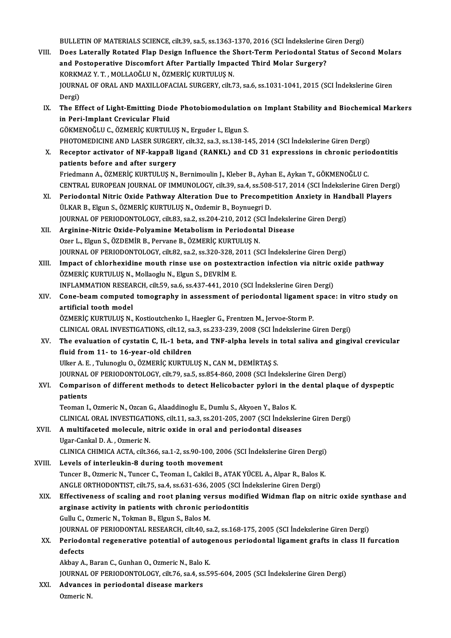- BULLETIN OF MATERIALS SCIENCE, cilt.39, sa.5, ss.1363-1370, 2016 (SCI İndekslerine Giren Dergi)<br>Dass Latarally Petated Elan Desism Influence the Shart Term Periodental Status of Seco VIII. Does Laterally Rotated Flap Design Influence the Short-Term Periodontal Status of Second Molars BULLETIN OF MATERIALS SCIENCE, cilt.39, sa.5, ss.1363-1370, 2016 (SCI İndekslerine C<br>Does Laterally Rotated Flap Design Influence the Short-Term Periodontal Sta<br>and Postoperative Discomfort After Partially Impacted Third M and Postoperative Discomfort After Partially Impacted Third Molar Surgery? JOURNAL OF ORAL AND MAXILLOFACIAL SURGERY, cilt.73, sa.6, ss.1031-1041, 2015 (SCI İndekslerine Giren<br>Dergi) KORKMAZ Y. T., MOLLAOĞLU N., ÖZMERİÇ KURTULUŞ N. JOURNAL OF ORAL AND MAXILLOFACIAL SURGERY, cilt.73, sa.6, ss.1031-1041, 2015 (SCI İndekslerine Giren<br>Dergi)<br>IX. The Effect of Light-Emitting Diode Photobiomodulation on Implant Stability and Biochemical Markers<br>in Pari Imp Dergi)<br>The Effect of Light-Emitting Dioc<br>in Peri-Implant Crevicular Fluid<br>CÖKMENOČLU C. ÖZMERİC KUPTUL The Effect of Light-Emitting Diode Photobiomodulation<br>in Peri-Implant Crevicular Fluid<br>GÖKMENOĞLU C., ÖZMERİÇ KURTULUŞ N., Erguder I., Elgun S.<br>PHOTOMEDICINE AND LASER SURCERY .<sup>çik 22</sup>. S2.2 SS 128 14 in Peri-Implant Crevicular Fluid<br>GÖKMENOĞLU C., ÖZMERİÇ KURTULUŞ N., Erguder I., Elgun S.<br>PHOTOMEDICINE AND LASER SURGERY, cilt.32, sa.3, ss.138-145, 2014 (SCI İndekslerine Giren Dergi) GÖKMENOĞLU C., ÖZMERİÇ KURTULUŞ N., Erguder I., Elgun S.<br>PHOTOMEDICINE AND LASER SURGERY, cilt.32, sa.3, ss.138-145, 2014 (SCI İndekslerine Giren Dergi)<br>X. Receptor activator of NF-kappaB ligand (RANKL) and CD 31 expressio PHOTOMEDICINE AND LASER SURGER<br>Receptor activator of NF-kappaB I<br>patients before and after surgery Receptor activator of NF-kappaB ligand (RANKL) and CD 31 expressions in chronic peric<br>patients before and after surgery<br>Friedmann A., ÖZMERİÇ KURTULUŞ N., Bernimoulin J., Kleber B., Ayhan E., Aykan T., GÖKMENOĞLU C.<br>CENTRA patients before and after surgery<br>Friedmann A., ÖZMERİÇ KURTULUŞ N., Bernimoulin J., Kleber B., Ayhan E., Aykan T., GÖKMENOĞLU C.<br>CENTRAL EUROPEAN JOURNAL OF IMMUNOLOGY, cilt.39, sa.4, ss.508-517, 2014 (SCI İndekslerine Gi Friedmann A., ÖZMERİÇ KURTULUŞ N., Bernimoulin J., Kleber B., Ayhan E., Aykan T., GÖKMENOĞLU C.<br>CENTRAL EUROPEAN JOURNAL OF IMMUNOLOGY, cilt.39, sa.4, ss.508-517, 2014 (SCI İndekslerine Giren Derg<br>XI. Periodontal Nitric Ox CENTRAL EUROPEAN JOURNAL OF IMMUNOLOGY, cilt.39, sa.4, ss.508<br>Periodontal Nitric Oxide Pathway Alteration Due to Precompe<br>ÜLKAR B., Elgun S., ÖZMERİÇ KURTULUŞ N., Ozdemir B., Boynuegri D.<br>JOURNAL OF PERJODONTOLOGY, silt 83 XI. Periodontal Nitric Oxide Pathway Alteration Due to Precompetition Anxiety in Handball Players<br>ÜLKAR B., Elgun S., ÖZMERİÇ KURTULUŞ N., Ozdemir B., Boynuegri D. XII. Arginine-Nitric Oxide-Polyamine Metabolism in Periodontal Disease<br>Ozer L., Elgun S., ÖZDEMİR B., Pervane B., ÖZMERİÇ KURTULUŞ N. JOURNAL OF PERIODONTOLOGY, cilt.83, sa.2, ss.204-210, 2012 (SCI İndekslerine Giren Dergi) Arginine-Nitric Oxide-Polyamine Metabolism in Periodontal Disease<br>Ozer L., Elgun S., ÖZDEMİR B., Pervane B., ÖZMERİÇ KURTULUŞ N.<br>JOURNAL OF PERIODONTOLOGY, cilt.82, sa.2, ss.320-328, 2011 (SCI İndekslerine Giren Dergi)<br>Imp XIII. Impact of chlorhexidine mouth rinse use on postextraction infection via nitric oxide pathway<br>ÖZMERİÇ KURTULUŞ N., Mollaoglu N., Elgun S., DEVRİM E. JOURNAL OF PERIODONTOLOGY, cilt.82, sa.2, ss.320-328, 2<br>Impact of chlorhexidine mouth rinse use on postex<br>ÖZMERİÇ KURTULUŞ N., Mollaoglu N., Elgun S., DEVRİM E.<br>INELAMMATION PESEARCH, silt 59, sa.6, ss.437, 441, 2010 INFLAMMATION RESEARCH, cilt.59, sa.6, ss.437-441, 2010 (SCI İndekslerine Giren Dergi) ÖZMERİÇ KURTULUŞ N., Mollaoglu N., Elgun S., DEVRİM E.<br>INFLAMMATION RESEARCH, cilt.59, sa.6, ss.437-441, 2010 (SCI İndekslerine Giren Dergi)<br>XIV. Cone-beam computed tomography in assessment of periodontal ligament spac INFLAMMATION RESEA<br>Cone-beam computed<br>artificial tooth model<br>ÖZMERİC KURTULUS N Cone-beam computed tomography in assessment of periodontal ligament<br>artificial tooth model<br>ÖZMERİÇ KURTULUŞ N., Kostioutchenko I., Haegler G., Frentzen M., Jervoe-Storm P.<br>CLINICAL ORAL INVESTICATIONS, silt 12, sa 2, sa 22 artificial tooth model<br>ÖZMERİÇ KURTULUŞ N., Kostioutchenko I., Haegler G., Frentzen M., Jervoe-Storm P.<br>CLINICAL ORAL INVESTIGATIONS, cilt.12, sa.3, ss.233-239, 2008 (SCI İndekslerine Giren Dergi) ÖZMERİÇ KURTULUŞ N., Kostioutchenko I., Haegler G., Frentzen M., Jervoe-Storm P.<br>CLINICAL ORAL INVESTIGATIONS, cilt.12, sa.3, ss.233-239, 2008 (SCI İndekslerine Giren Dergi)<br>XV. The evaluation of cystatin C, IL-1 beta, and CLINICAL ORAL INVESTIGATIONS, cilt.12, sa<br>The evaluation of cystatin C, IL-1 beta,<br>fluid from 11- to 16-year-old children<br>Illian A E, Tulungshy O, ÖZMERİC KURTUL The evaluation of cystatin C, IL-1 beta, and TNF-alpha levels in<br>fluid from 11- to 16-year-old children<br>Ulker A.E., Tulunoglu O., ÖZMERİÇ KURTULUŞ N., CAN M., DEMİRTAŞ S.<br>JOUPMAL OE PERJODONTOLOGY, silt 79, sa 5, sa 954, 9 fluid from 11- to 16-year-old children<br>Ulker A. E. , Tulunoglu O., ÖZMERİÇ KURTULUŞ N., CAN M., DEMİRTAŞ S.<br>JOURNAL OF PERIODONTOLOGY, cilt.79, sa.5, ss.854-860, 2008 (SCI İndekslerine Giren Dergi) Ulker A. E. , Tulunoglu O., ÖZMERİÇ KURTULUŞ N., CAN M., DEMİRTAŞ S.<br>JOURNAL OF PERIODONTOLOGY, cilt.79, sa.5, ss.854-860, 2008 (SCI İndekslerine Giren Dergi)<br>XVI. Comparison of different methods to detect Helicobacter **JOURNAL<br>Compari<br>patients<br>Teemen I** Comparison of different methods to detect Helicobacter pylori in the<br>patients<br>Teoman I., Ozmeric N., Ozcan G., Alaaddinoglu E., Dumlu S., Akyoen Y., Balos K.<br>CLINICAL ORAL INVESTIC ATIONS, silt 11, 22, 22, 29, 201, 205, 20 patients<br>Teoman I., Ozmeric N., Ozcan G., Alaaddinoglu E., Dumlu S., Akyoen Y., Balos K.<br>CLINICAL ORAL INVESTIGATIONS, cilt.11, sa.3, ss.201-205, 2007 (SCI İndekslerine Giren Dergi)<br>A. multifeseted melesule, nitris evide i Teoman I., Ozmeric N., Ozcan G., Alaaddinoglu E., Dumlu S., Akyoen Y., Balos K.<br>CLINICAL ORAL INVESTIGATIONS, cilt.11, sa.3, ss.201-205, 2007 (SCI İndeksleri<br>XVII. A multifaceted molecule, nitric oxide in oral and periodon CLINICAL ORAL INVESTIGATI<br>A multifaceted molecule, n<br>Ugar-Cankal D.A., Ozmeric N. A multifaceted molecule, nitric oxide in oral and periodontal diseases<br>Ugar-Cankal D. A. , Ozmeric N.<br>CLINICA CHIMICA ACTA, cilt.366, sa.1-2, ss.90-100, 2006 (SCI İndekslerine Giren Dergi)<br>Lavels of interlaukin 8 during to Ugar-Cankal D. A., Ozmeric N.<br>CLINICA CHIMICA ACTA, cilt.366, sa.1-2, ss.90-100, 20<br>XVIII. Levels of interleukin-8 during tooth movement<br>Tunger B. Ozmeric N. Tunger G. Teaman L. Cakilei B. CLINICA CHIMICA ACTA, cilt.366, sa.1-2, ss.90-100, 2006 (SCI İndekslerine Giren Dergi)<br>Levels of interleukin-8 during tooth movement<br>Tuncer B., Ozmeric N., Tuncer C., Teoman I., Cakilci B., ATAK YÜCEL A., Alpar R., Balos K Levels of interleukin-8 during tooth movement<br>Tuncer B., Ozmeric N., Tuncer C., Teoman I., Cakilci B., ATAK YÜCEL A., Alpar R., Balos F<br>ANGLE ORTHODONTIST, cilt.75, sa.4, ss.631-636, 2005 (SCI İndekslerine Giren Dergi)<br>Eff Tuncer B., Ozmeric N., Tuncer C., Teoman I., Cakilci B., ATAK YÜCEL A., Alpar R., Balos K.<br>ANGLE ORTHODONTIST, cilt.75, sa.4, ss.631-636, 2005 (SCI Indekslerine Giren Dergi)<br>XIX. Effectiveness of scaling and root planing v ANGLE ORTHODONTIST, cilt.75, sa.4, ss.631-636, 2005 (SCI Incontractor Caling and root planing versus modifier<br>arginase activity in patients with chronic periodontitis<br>Cully Colomonic N. Tolman B. Flaun S. Balos M. Effectiveness of scaling and root planing ve<br>arginase activity in patients with chronic pe<br>Gullu C., Ozmeric N., Tokman B., Elgun S., Balos M.<br>JOUPNAL OF PERJODONTAL PESEARCH si<sup>1</sup>440 ss arginase activity in patients with chronic periodontitis<br>Gullu C., Ozmeric N., Tokman B., Elgun S., Balos M.<br>JOURNAL OF PERIODONTAL RESEARCH, cilt.40, sa.2, ss.168-175, 2005 (SCI İndekslerine Giren Dergi)
	- Gullu C., Ozmeric N., Tokman B., Elgun S., Balos M.<br>JOURNAL OF PERIODONTAL RESEARCH, cilt.40, sa.2, ss.168-175, 2005 (SCI İndekslerine Giren Dergi)<br>XX. Periodontal regenerative potential of autogenous periodontal ligam JOURNA<br>Periodo<br>defects<br><sup>Althou A</sup> Periodontal regenerative potential of autog<br>defects<br>Akbay A., Baran C., Gunhan O., Ozmeric N., Balo K.<br>JOUPNAL OF PERJODONTOLOCY, silt 76, sa 4, sa 5 defects<br>Akbay A., Baran C., Gunhan O., Ozmeric N., Balo K.<br>JOURNAL OF PERIODONTOLOGY, cilt.76, sa.4, ss.595-604, 2005 (SCI İndekslerine Giren Dergi)<br>Advanses in periodental disease markers

Akbay A., Baran C., Gunhan O., Ozmeric N., Balo K.<br>JOURNAL OF PERIODONTOLOGY, cilt.76, sa.4, ss.59<br>XXI. Advances in periodontal disease markers<br>Ozmeric N. JOURNAL (<br><mark>Advances</mark><br>Ozmeric N.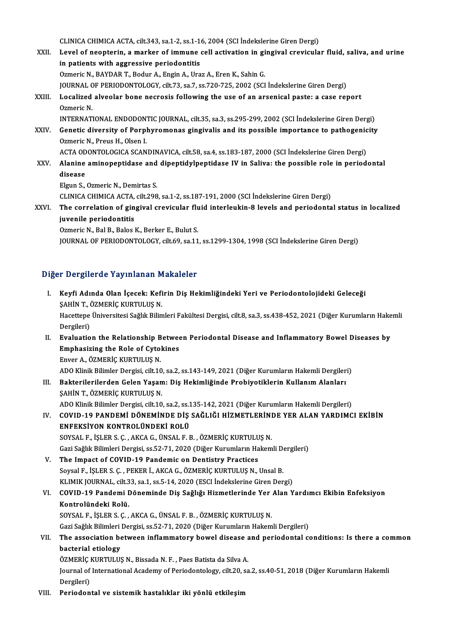CLINICA CHIMICA ACTA, cilt.343, sa.1-2, ss.1-16, 2004 (SCI İndekslerine Giren Dergi)<br>Lavel of neontarin, a markar of immune sell estivation in singivel enevievle

XXII. Level of neopterin, a marker of immune cell activation in gingival crevicular fluid, saliva, and urine<br>in patients with aggressive periodontitis CLINICA CHIMICA ACTA, cilt.343, sa.1-2, ss.1-1<br>Level of neopterin, a marker of immune<br>in patients with aggressive periodontitis<br>Ormonie N. PAVDAR T. Podur A. Engin A. Ura Ozmeric N., BAYDAR T., Bodur A., Engin A., Uraz A., Eren K., Sahin G. in patients with aggressive periodontitis<br>Ozmeric N., BAYDAR T., Bodur A., Engin A., Uraz A., Eren K., Sahin G.<br>JOURNAL OF PERIODONTOLOGY, cilt.73, sa.7, ss.720-725, 2002 (SCI İndekslerine Giren Dergi)<br>Localized alveelar b Ozmeric N., BAYDAR T., Bodur A., Engin A., Uraz A., Eren K., Sahin G.<br>JOURNAL OF PERIODONTOLOGY, cilt.73, sa.7, ss.720-725, 2002 (SCI İndekslerine Giren Dergi)<br>XXIII. Localized alveolar bone necrosis following the use **JOURNAL C<br>Localized<br>Ozmeric N.<br>INTEPNAT** Localized alveolar bone necrosis following the use of an arsenical paste: a case report<br>Ozmeric N.<br>INTERNATIONAL ENDODONTIC JOURNAL, cilt.35, sa.3, ss.295-299, 2002 (SCI İndekslerine Giren Dergi)<br>Constis diversity of Bernh Ozmeric N.<br>INTERNATIONAL ENDODONTIC JOURNAL, cilt.35, sa.3, ss.295-299, 2002 (SCI İndekslerine Giren Dergi)<br>XXIV. Genetic diversity of Porphyromonas gingivalis and its possible importance to pathogenicity<br>Ormeric N. Preus INTERNATIONAL ENDODON<br>Genetic diversity of Porpl<br>Ozmeric N., Preus H., Olsen I.<br>ACTA ODONTOLOGICA SCAN Genetic diversity of Porphyromonas gingivalis and its possible importance to pathogenic<br>Ozmeric N., Preus H., Olsen I.<br>ACTA ODONTOLOGICA SCANDINAVICA, cilt.58, sa.4, ss.183-187, 2000 (SCI İndekslerine Giren Dergi)<br>Alanine Ozmeric N., Preus H., Olsen I.<br>ACTA ODONTOLOGICA SCANDINAVICA, cilt.58, sa.4, ss.183-187, 2000 (SCI Indekslerine Giren Dergi)<br>XXV. Alanine aminopeptidase and dipeptidylpeptidase IV in Saliva: the possible role in periodont ACTA ODONTOLOGICA SCANDINAVICA, cilt.58, sa.4, ss.183-187, 2000 (SCI İndekslerine Giren Dergi) ElgunS.,OzmericN.,Demirtas S. disease<br>Elgun S., Ozmeric N., Demirtas S.<br>CLINICA CHIMICA ACTA, cilt.298, sa.1-2, ss.187-191, 2000 (SCI İndekslerine Giren Dergi)<br>The conrelation of singival enevieular fluid interleukin 8 levels and periodente Elgun S., Ozmeric N., Demirtas S.<br>CLINICA CHIMICA ACTA, cilt.298, sa.1-2, ss.187-191, 2000 (SCI İndekslerine Giren Dergi)<br>XXVI. The correlation of gingival crevicular fluid interleukin-8 levels and periodontal status in lo CLINICA CHIMICA ACTA,<br>The correlation of gine<br>juvenile periodontitis<br>Ormonic N. Bal B. Balac l The correlation of gingival crevicular flu<br>juvenile periodontitis<br>Ozmeric N., Bal B., Balos K., Berker E., Bulut S.<br>JOUPMAL OF PERJODONTOLOGY silt 60, 82.11 juvenile periodontitis<br>Ozmeric N., Bal B., Balos K., Berker E., Bulut S.<br>JOURNAL OF PERIODONTOLOGY, cilt.69, sa.11, ss.1299-1304, 1998 (SCI İndekslerine Giren Dergi)

## Diğer Dergilerde Yayınlanan Makaleler

- Iğer Dergilerde Yayınlanan Makaleler<br>I. Keyfi Adında Olan İçecek: Kefirin Diş Hekimliğindeki Yeri ve Periodontolojideki Geleceği<br>SAHİN T. ÖZMERİC KURTULUS N r Bergherde Taymanları<br>Keyfi Adında Olan İçecek: Kefi<br>ŞAHİN T., ÖZMERİÇ KURTULUŞ N. Keyfi Adında Olan İçecek: Kefirin Diş Hekimliğindeki Yeri ve Periodontolojideki Geleceği<br>ŞAHİN T., ÖZMERİÇ KURTULUŞ N.<br>Hacettepe Üniversitesi Sağlık Bilimleri Fakültesi Dergisi, cilt.8, sa.3, ss.438-452, 2021 (Diğer Kuruml SAHİN T., (<br>Hacettepe<br>Dergileri)<br>Evaluatio Hacettepe Üniversitesi Sağlık Bilimleri Fakültesi Dergisi, cilt.8, sa.3, ss.438-452, 2021 (Diğer Kurumların Hake<br>Dergileri)<br>II. Evaluation the Relationship Between Periodontal Disease and Inflammatory Bowel Diseases by<br>Emp Dergileri)<br>II. Evaluation the Relationship Between Periodontal Disease and Inflammatory Bowel Diseases by<br>Emphasizing the Role of Cytokines
- Enver A., ÖZMERİÇ KURTULUŞ N. Emphasizing the Role of Cytokines<br>Enver A., ÖZMERİÇ KURTULUŞ N.<br>ADO Klinik Bilimler Dergisi, cilt.10, sa.2, ss.143-149, 2021 (Diğer Kurumların Hakemli Dergileri)<br>Baktarilerilerden Gelen Yasamı, Diş Hakimliğinde Prehiyetikl
- III. Bakterilerilerden Gelen Yaşam: Diş Hekimliğinde Probiyotiklerin Kullanım Alanları<br>ŞAHİN T., ÖZMERİÇ KURTULUŞ N. ADO Klinik Bilimler Dergisi, cilt.10<br>Bakterilerilerden Gelen Yaşan<br>ŞAHİN T., ÖZMERİÇ KURTULUŞ N.<br>ADO Klinik Bilimler Dergişi, silt.10

ADO Klinik Bilimler Dergisi, cilt.10, sa.2, ss.135-142, 2021 (Diğer Kurumların Hakemli Dergileri)

IV. COVID-19 PANDEMİ DÖNEMİNDE DİŞ SAĞLIĞI HİZMETLERİNDE YER ALAN YARDIMCI EKİBİN ENFEKSİYON KONTROLÜNDEKİ ROLÜ

SOYSAL F., İŞLERS.Ç. ,AKCAG.,ÜNSAL F.B. ,ÖZMERİÇKURTULUŞN. Gazi Sağlık Bilimleri Dergisi, ss.52-71, 2020 (Diğer Kurumların Hakemli Dergileri)

- V. The Impact of COVID-19 Pandemic on Dentistry Practices Gazi Sağlık Bilimleri Dergisi, ss.52-71, 2020 (Diğer Kurumların Hakemli De The Impact of COVID-19 Pandemic on Dentistry Practices<br>Soysal F., İŞLER S. Ç. , PEKER İ., AKCA G., ÖZMERİÇ KURTULUŞ N., Unsal B.<br>KUMK JOUPNAL gilt The Impact of COVID-19 Pandemic on Dentistry Practices<br>Soysal F., İŞLER S. Ç. , PEKER İ., AKCA G., ÖZMERİÇ KURTULUŞ N., Unsal B.<br>KLIMIK JOURNAL, cilt.33, sa.1, ss.5-14, 2020 (ESCI İndekslerine Giren Dergi)<br>COVID 19 Pandami KLIMIK JOURNAL, cilt.33, sa.1, ss.5-14, 2020 (ESCI İndekslerine Giren Dergi)
- VI. COVID-19 Pandemi Döneminde Diş Sağlığı Hizmetlerinde Yer Alan Yardımcı Ekibin Enfeksiyon

SOYSAL F., İŞLERS.Ç. ,AKCAG.,ÜNSAL F.B. ,ÖZMERİÇKURTULUŞN. Kontrolündeki Rolü.<br>SOYSAL F., İŞLER S. Ç. , AKCA G., ÜNSAL F. B. , ÖZMERİÇ KURTULUŞ N.<br>Gazi Sağlık Bilimleri Dergisi, ss.52-71, 2020 (Diğer Kurumların Hakemli Dergileri)<br>The assesiation between inflammatery bewel disesse

## SOYSAL F., İŞLER S. Ç. , AKCA G., ÜNSAL F. B. , ÖZMERİÇ KURTULUŞ N.<br>Gazi Sağlık Bilimleri Dergisi, ss.52-71, 2020 (Diğer Kurumların Hakemli Dergileri)<br>VII. The association between inflammatory bowel disease and periodo Gazi Sağlık Bilimleri<br>The association be<br>bacterial etiology<br>ÖZMEDİC KUPTULU The association between inflammatory bowel disease a<br>bacterial etiology<br>ÖZMERİÇ KURTULUŞ N., Bissada N. F. , Paes Batista da Silva A.<br>Journal of International Asademy of Beriedentelegy, silt 30, sa

bacterial etiology<br>ÖZMERİÇ KURTULUŞ N., Bissada N. F. , Paes Batista da Silva A.<br>Journal of International Academy of Periodontology, cilt.20, sa.2, ss.40-51, 2018 (Diğer Kurumların Hakemli ÖZMERİÇ<br>Journal of<br>Dergileri)<br>Perioden

Dergileri)<br>VIII. Periodontal ve sistemik hastalıklar iki yönlü etkileşim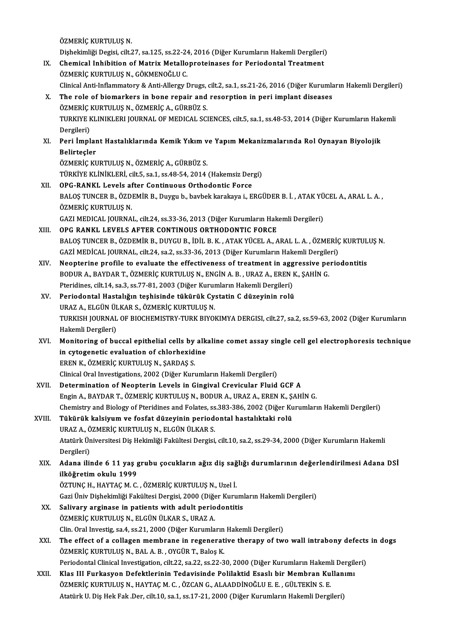ÖZMERİÇ KURTULUŞ N.

ÖZMERİÇ KURTULUŞ N.<br>Dişhekimliği Degisi, cilt.27, sa.125, ss.22-24, 2016 (Diğer Kurumların Hakemli Dergileri)<br>Chemisel Inhibition of Metriy Metallenreteineses fan Periodentel Trestment IX. Chemical Inhibition of Matrix Metalloproteinases for Periodontal Treatment ÖZMERIC KURTULUS N., GÖKMENOĞLU C. Dişhekimliği Degisi, cilt.27, sa.125, ss.22-24<br>Chemical Inhibition of Matrix Metallo<br>ÖZMERİÇ KURTULUŞ N., GÖKMENOĞLU C.<br>Clinical Anti Inflammatoru & Anti Allangu I Clinical Anti-Inflammatory & Anti-Allergy Drugs, cilt.2, sa.1, ss.21-26, 2016 (Diğer Kurumların Hakemli Dergileri) X. The role of biomarkers in bone repair and resorption in peri implant diseases Clinical Anti-Inflammatory & Anti-Allergy Drugs,<br>The role of biomarkers in bone repair and<br>ÖZMERİÇ KURTULUŞ N., ÖZMERİÇ A., GÜRBÜZ S.<br>TURKIYE KI INIKLERI JOURNAL OF MEDICAL SCI TURKIYE KLINIKLERI JOURNAL OF MEDICAL SCIENCES, cilt.5, sa.1, ss.48-53, 2014 (Diğer Kurumların Hakemli Dergileri) ÖZMERİÇ<br>TURKIYE F<br>Dergileri)<br>Peri İmpl TURKIYE KLINIKLERI JOURNAL OF MEDICAL SCIENCES, cilt.5, sa.1, ss.48-53, 2014 (Diğer Kurumların Hak<br>Dergileri)<br>XI. Peri İmplant Hastalıklarında Kemik Yıkım ve Yapım Mekanizmalarında Rol Oynayan Biyolojik<br>Pelisteeler Dergileri)<br><mark>Peri İmplar</mark><br>Belirteçler<br>ÖzMEPİC KI Peri İmplant Hastalıklarında Kemik Yıkım v<br>Belirteçler<br>ÖZMERİÇ KURTULUŞ N., ÖZMERİÇ A., GÜRBÜZ S.<br>TÜRKİVE KI İNİKLERİ silt 5, 89,1, 85,49,54,2014 Belirteçler<br>ÖZMERİÇ KURTULUŞ N., ÖZMERİÇ A., GÜRBÜZ S.<br>TÜRKİYE KLİNİKLERİ, cilt.5, sa.1, ss.48-54, 2014 (Hakemsiz Dergi) XII. OPG-RANKL Levels after Continuous Orthodontic Force TÜRKİYE KLİNİKLERİ, cilt.5, sa.1, ss.48-54, 2014 (Hakemsiz Dergi)<br><mark>OPG-RANKL Levels after Continuous Orthodontic Force</mark><br>BALOŞ TUNCER B., ÖZDEMİR B., Duygu b., bavbek karakaya i., ERGÜDER B. İ. , ATAK YÜCEL A., ARAL L. A. , OPG-RANKL Levels af<br>BALOŞ TUNCER B., ÖZD<br>ÖZMERİÇ KURTULUŞ N.<br>CAZI MEDICAL IQUPNA BALOŞ TUNCER B., ÖZDEMİR B., Duygu b., bavbek karakaya i., ERGÜDER B. İ. , ATAK YÜ<br>ÖZMERİÇ KURTULUŞ N.<br>GAZI MEDICAL JOURNAL, cilt.24, ss.33-36, 2013 (Diğer Kurumların Hakemli Dergileri)<br>OPC BANKL J EVELS AETER CONTINOUS OR ÖZMERİÇ KURTULUŞ N.<br>GAZI MEDICAL JOURNAL, cilt.24, ss.33-36, 2013 (Diğer Kurumların Hakemli Dergileri)<br>XIII. OPG RANKL LEVELS AFTER CONTINOUS ORTHODONTIC FORCE BALOŞ TUNCER B., ÖZDEMİR B., DUYGU B., İDİL B. K., ATAK YÜCEL A., ARAL L. A., ÖZMERİÇ KURTULUŞ N. OPG RANKL LEVELS AFTER CONTINOUS ORTHODONTIC FORCE<br>BALOŞ TUNCER B., ÖZDEMİR B., DUYGU B., İDİL B. K. , ATAK YÜCEL A., ARAL L. A. , ÖZMERİÇ<br>GAZİ MEDİCAL JOURNAL, cilt.24, sa.2, ss.33-36, 2013 (Diğer Kurumların Hakemli Dergi XIV. Neopterine profile to evaluate the effectiveness of treatment in aggressive periodontitis<br>BODUR A., BAYDAR T., ÖZMERİÇ KURTULUŞ N., ENGİN A. B., URAZ A., EREN K., ŞAHİN G. GAZİ MEDİCAL JOURNAL, cilt.24, sa.2, ss.33-36, 2013 (Diğer Kurumların Hakemli Dergile<br>Neopterine profile to evaluate the effectiveness of treatment in aggressive pe<br>BODUR A., BAYDAR T., ÖZMERİÇ KURTULUŞ N., ENGİN A. B. , U Neopterine profile to evaluate the effectiveness of treatment in agg<br>BODUR A., BAYDAR T., ÖZMERİÇ KURTULUŞ N., ENGİN A. B. , URAZ A., EREN I<br>Pteridines, cilt.14, sa.3, ss.77-81, 2003 (Diğer Kurumların Hakemli Dergileri)<br>Pe XV. Periodontal Hastalığın teşhisinde tükürük Cystatin C düzeyinin rolü Pteridines, cilt.14, sa.3, ss.77-81, 2003 (Diğer Kurun<br>Periodontal Hastalığın teşhisinde tükürük Cy:<br>URAZ A., ELGÜN ÜLKAR S., ÖZMERİÇ KURTULUŞ N.<br>TURKISH JOURNAL OF RIOCHEMISTRY TURK RIYOL Periodontal Hastalığın teşhisinde tükürük Cystatin C düzeyinin rolü<br>URAZ A., ELGÜN ÜLKAR S., ÖZMERİÇ KURTULUŞ N.<br>TURKISH JOURNAL OF BIOCHEMISTRY-TURK BIYOKIMYA DERGISI, cilt.27, sa.2, ss.59-63, 2002 (Diğer Kurumların<br>Hakam URAZ A., ELGÜN ÜL<br>TURKISH JOURNAL<br>Hakemli Dergileri)<br>Monitoring of bu TURKISH JOURNAL OF BIOCHEMISTRY-TURK BIYOKIMYA DERGISI, cilt.27, sa.2, ss.59-63, 2002 (Diğer Kurumların<br>Hakemli Dergileri)<br>XVI. Monitoring of buccal epithelial cells by alkaline comet assay single cell gel electrophoresis Hakemli Dergileri)<br>Monitoring of buccal epithelial cells by alk<br>in cytogenetic evaluation of chlorhexidine<br>FREN K. ÖZMERİC KURTULUS N. SARDAS S in cytogenetic evaluation of chlorhexidine<br>EREN K., ÖZMERİÇ KURTULUŞ N., ŞARDAŞ S. Clinical Oral Investigations, 2002 (Diğer Kurumların Hakemli Dergileri) XVII. Determination of Neopterin Levels in Gingival Crevicular Fluid GCF A Engin A., BAYDAR T., ÖZMERİÇ KURTULUŞ N., BODUR A., URAZ A., EREN K., ŞAHİN G. Chemistry and Biology of Pteridines and Folates, ss.383-386, 2002 (Diğer Kurumların Hakemli Dergileri) Engin A., BAYDAR T., ÖZMERİÇ KURTULUŞ N., BODUR A., URAZ A., EREN K., Ş., Chemistry and Biology of Pteridines and Folates, ss.383-386, 2002 (Diğer Ku<br>XVIII. Tükürük kalsiyum ve fosfat düzeyinin periodontal hastalıktaki rol Chemistry and Biology of Pteridines and Folates, ss<br>Tükürük kalsiyum ve fosfat düzeyinin period<br>URAZ A., ÖZMERİÇ KURTULUŞ N., ELGÜN ÜLKAR S.<br>Atatürk Üniversitesi Dis Hekimliği Fekültesi Dersisi Tükürük kalsiyum ve fosfat düzeyinin periodontal hastalıktaki rolü<br>URAZ A., ÖZMERİÇ KURTULUŞ N., ELGÜN ÜLKAR S.<br>Atatürk Üniversitesi Diş Hekimliği Fakültesi Dergisi, cilt.10, sa.2, ss.29-34, 2000 (Diğer Kurumların Hakemli<br> URAZ A., Ö<br>Atatürk Ür<br>Dergileri)<br>Adana ili Atatürk Üniversitesi Diş Hekimliği Fakültesi Dergisi, cilt.10, sa.2, ss.29-34, 2000 (Diğer Kurumların Hakemli<br>Dergileri)<br>XIX. Adana ilinde 6 11 yaş grubu çocukların ağız diş sağlığı durumlarının değerlendirilmesi Adana Dergileri)<br>Adana ilinde 6 11 yaş ş<br>ilköğretim okulu 1999<br>ÖZTUNC H. HAYTACM C ilköğretim okulu 1999<br>ÖZTUNÇ H., HAYTAÇ M. C. , ÖZMERİÇ KURTULUŞ N., Uzel İ. ilköğretim okulu 1999<br>ÖZTUNÇ H., HAYTAÇ M. C. , ÖZMERİÇ KURTULUŞ N., Uzel İ.<br>Gazi Üniv Dişhekimliği Fakültesi Dergisi, 2000 (Diğer Kurumların Hakemli Dergileri)<br>Saliyary arginassa in nationts with adult norjadantitis. XX. Salivary arginase in patients with adult periodontitis ÖZMERIC KURTULUS N., ELGÜN ÜLKAR S., URAZ A. Gazi Üniv Dişhekimliği Fakültesi Dergisi, 2000 (Diğe<br>Salivary arginase in patients with adult perio<br>ÖZMERİÇ KURTULUŞ N., ELGÜN ÜLKAR S., URAZ A.<br>Clin Oral Investis sa 4, sa 21, 2000 (Diğer Kurumla Clin. Oral Investig, sa.4, ss.21, 2000 (Diğer Kurumların Hakemli Dergileri) XXI. The effect of a collagen membrane in regenerative therapy of two wall intrabony defects in dogs ÖZMERİÇ KURTULUŞ N., BAL A. B., OYGÜR T., Baloş K. The effect of a collagen membrane in regenerative therapy of two wall intrabony defects<br>ÖZMERİÇ KURTULUŞ N., BAL A. B. , OYGÜR T., Baloş K.<br>Periodontal Clinical Investigation, cilt.22, sa.22, ss.22-30, 2000 (Diğer Kurumlar ÖZMERİÇ KURTULUŞ N., BAL A. B. , OYGÜR T., Baloş K.<br>Periodontal Clinical Investigation, cilt.22, sa.22, ss.22-30, 2000 (Diğer Kurumların Hakemli Dergile<br>XXII. Klas III Furkasyon Defektlerinin Tedavisinde Polilaktid Esaslı Periodontal Clinical Investigation, cilt.22, sa.22, ss.22-30, 2000 (Diğer Kurumların Hakeml<br>Klas III Furkasyon Defektlerinin Tedavisinde Polilaktid Esaslı bir Membran Ku<br>ÖZMERİÇ KURTULUŞ N., HAYTAÇ M. C. , ÖZCAN G., ALAADD Klas III Furkasyon Defektlerinin Tedavisinde Polilaktid Esaslı bir Membran Kullanımı<br>ÖZMERİÇ KURTULUŞ N., HAYTAÇ M. C. , ÖZCAN G., ALAADDİNOĞLU E. E. , GÜLTEKİN S. E.<br>Atatürk U. Diş Hek Fak .Der, cilt.10, sa.1, ss.17-21, 2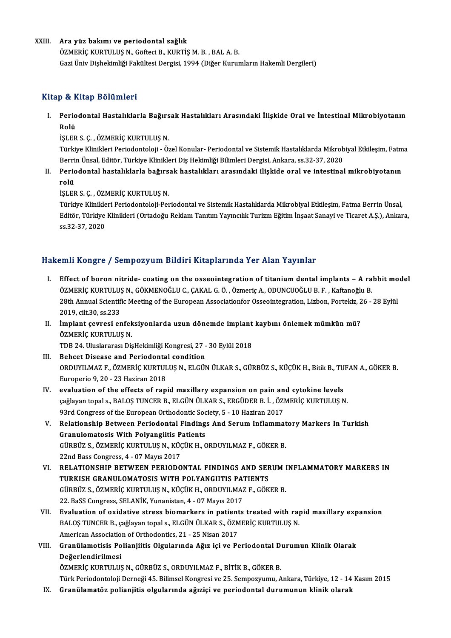### XXIII. Ara yüz bakımı ve periodontal sağlık

ÖZMERİÇKURTULUŞN.,GöfteciB.,KURTİŞM.B. ,BALA.B. Gazi Üniv Dişhekimliği Fakültesi Dergisi, 1994 (Diğer Kurumların Hakemli Dergileri)

## Kitap & Kitap Bölümleri

itap & Kitap Bölümleri<br>I. Periodontal Hastalıklarla Bağırsak Hastalıkları Arasındaki İlişkide Oral ve İntestinal Mikrobiyotanın<br>Rolü perio<br>Perio<br>Rolü<br>ist EB Periodontal Hastalıklarla Bağırs<br>Rolü<br>İŞLER S.Ç., ÖZMERİÇ KURTULUŞ N.<br>Türkiye Klinikleri Beriodontalesi...Ö

Rolü<br>İŞLER S. Ç. , ÖZMERİÇ KURTULUŞ N.<br>Türkiye Klinikleri Periodontoloji - Özel Konular- Periodontal ve Sistemik Hastalıklarda Mikrobiyal Etkileşim, Fatma<br>Perrin Üneel, Editör, Türkiye Klinikleri Die Hekimliği Pilimleri De İŞLER S. Ç. , ÖZMERİÇ KURTULUŞ N.<br>Türkiye Klinikleri Periodontoloji - Özel Konular- Periodontal ve Sistemik Hastalıklarda Mikrob<br>Berrin Ünsal, Editör, Türkiye Klinikleri Diş Hekimliği Bilimleri Dergisi, Ankara, ss.32-37, 2 Türkiye Klinikleri Periodontoloji - Özel Konular- Periodontal ve Sistemik Hastalıklarda Mikrobiyal Etkileşim, Fatm<br>Berrin Ünsal, Editör, Türkiye Klinikleri Diş Hekimliği Bilimleri Dergisi, Ankara, ss.32-37, 2020<br>II. Pe

Berri<br><mark>Peric</mark><br>rolü<br>ist en Periodontal hastalıklarla bağırs<br>rolü<br>İŞLER S. Ç. , ÖZMERİÇ KURTULUŞ N.<br>Türkiye Klinikleri Beriodenteleji Ber

rolü<br>İŞLER S. Ç. , ÖZMERİÇ KURTULUŞ N.<br>Türkiye Klinikleri Periodontoloji-Periodontal ve Sistemik Hastalıklarda Mikrobiyal Etkileşim, Fatma Berrin Ünsal,<br>Editön Türkiye Klinikleri (Ortadeğu Beklam Tenrim Yayıngılık Turizm E İŞLER S. Ç. , ÖZMERİÇ KURTULUŞ N.<br>Türkiye Klinikleri Periodontoloji-Periodontal ve Sistemik Hastalıklarda Mikrobiyal Etkileşim, Fatma Berrin Ünsal,<br>Editör, Türkiye Klinikleri (Ortadoğu Reklam Tanıtım Yayıncılık Turizm Eğit Türkiye Klinikle<br>Editör, Türkiye<br>ss.32-37, 2020

## Hakemli Kongre / Sempozyum Bildiri Kitaplarında Yer Alan Yayınlar

- akemli Kongre / Sempozyum Bildiri Kitaplarında Yer Alan Yayınlar<br>I. Effect of boron nitride- coating on the osseointegration of titanium dental implants A rabbit model<br>ÖZMERİC KURTULUS N. CÖKMENOČLUS SAKALS Ö. ÖZMERA ODU ÖZMERİÇIĞ) ÖZÜNPOZJUNI DINIH INKUPNI'INUN TOTIKUR TUJIKKI<br>ÖZMERİÇ KURTULUŞN., GÖKMENOĞLU C., ÇAKAL G.Ö., Özmeriç A., ODUNCUOĞLU B.F., Kaftanoğlu B.<br>20th Annual Scientific Meeting of the Euronean Associationfor Ossesintegra Effect of boron nitride- coating on the osseointegration of titanium dental implants – A rabbit mo<br>ÖZMERİÇ KURTULUŞ N., GÖKMENOĞLU C., ÇAKAL G. Ö. , Özmeriç A., ODUNCUOĞLU B. F. , Kaftanoğlu B.<br>28th Annual Scientific Meeti ÖZMERİÇ KURTULUŞ N., GÖKMENOĞLU C., ÇAKAL G. Ö. , Özmeriç A., ODUNCUOĞLU B. F. , Kaftanoğlu B.<br>28th Annual Scientific Meeting of the European Associationfor Osseointegration, Lizbon, Portekiz, 26 - 28 Eylül<br>2019, cilt.30, 28th Annual Scientific Meeting of the European Associationfor Osseointegration, Lizbon, Portekiz, 2<br>2019, cilt.30, ss.233<br>II. İmplant çevresi enfeksiyonlarda uzun dönemde implant kaybını önlemek mümkün mü?<br>ÖZMEDİC KUPTU
- 2019, cilt.30, ss.233<br>İmplant çevresi enfek<br>ÖZMERİÇ KURTULUŞ N.<br>TDP 24. Uluslararesı Dis İmplant çevresi enfeksiyonlarda uzun dönemde implant<br>ÖZMERİÇ KURTULUŞ N.<br>TDB 24. Uluslararası DişHekimliği Kongresi, 27 - 30 Eylül 2018<br>Beheet Disease and Beriedental sendition

- ÖZMERİÇ KURTULUŞ N.<br>IDB 24. Uluslararası DişHekimliği Kongresi, 27 -<br>III. Behcet Disease and Periodontal condition<br>OPDIWU MAZ E. ÖZMERİÇ KURTULUS N. ELÇÜN TDB 24. Uluslararası DişHekimliği Kongresi, 27 - 30 Eylül 2018<br>Behcet Disease and Periodontal condition<br>ORDUYILMAZ F., ÖZMERİÇ KURTULUŞ N., ELGÜN ÜLKAR S., GÜRBÜZ S., KÜÇÜK H., Bitik B., TUFAN A., GÖKER B.<br>Europerio 9, 20 Behcet Disease and Periodonta<br>ORDUYILMAZ F., ÖZMERİÇ KURTUL<br>Europerio 9, 20 - 23 Haziran 2018<br>evaluation of the offects of ran
- IV. evaluation of the effects of rapid maxillary expansion on pain and cytokine levels Europerio 9, 20 - 23 Haziran 2018<br>evaluation of the effects of rapid maxillary expansion on pain and cytokine levels<br>çağlayan topal s., BALOŞ TUNCER B., ELGÜN ÜLKAR S., ERGÜDER B. İ. , ÖZMERİÇ KURTULUŞ N.<br>93rd Cangress of evaluation of the effects of rapid maxillary expansion on pain an<br>çağlayan topal s., BALOŞ TUNCER B., ELGÜN ÜLKAR S., ERGÜDER B. İ. , ÖZI<br>93rd Congress of the European Orthodontic Society, 5 - 10 Haziran 2017<br>Belationship çağlayan topal s., BALOŞ TUNCER B., ELGÜN ÜLKAR S., ERGÜDER B. İ. , ÖZMERİÇ KURTULUŞ N.<br>93rd Congress of the European Orthodontic Society, 5 - 10 Haziran 2017<br>V. Relationship Between Periodontal Findings And Serum Inflamma
- 93rd Congress of the European Orthodontic Soc<br>Relationship Between Periodontal Finding<br>Granulomatosis With Polyangiitis Patients<br>Cippiiz ς ÖΖΜΕΡΙΟ ΚΗΡΤΗΗ Ης ΝΑΚΙΟΡΙΝΑ Ο Relationship Between Periodontal Findings And Serum Inflammat<br>Granulomatosis With Polyangiitis Patients<br>GÜRBÜZ S., ÖZMERİÇ KURTULUŞ N., KÜÇÜK H., ORDUYILMAZ F., GÖKER B.<br>22nd Pass Congress 4, 07 Mayıs 2017 Granulomatosis With Polyangiitis Patients<br>GÜRBÜZ S., ÖZMERİÇ KURTULUŞ N., KÜÇÜK H., ORDUYILMAZ F., GÖKER B.<br>22nd Bass Congress, 4 - 07 Mayıs 2017
- GÜRBÜZ S., ÖZMERİÇ KURTULUŞ N., KÜÇÜK H., ORDUYILMAZ F., GÖKER B.<br>22nd Bass Congress, 4 07 Mayıs 2017<br>VI. RELATIONSHIP BETWEEN PERIODONTAL FINDINGS AND SERUM INFLAMMATORY MARKERS IN<br>TURKISH CRANIU OMATOSIS WITH POLYANCUT 22nd Bass Congress, 4 - 07 Mayıs 2017<br>RELATIONSHIP BETWEEN PERIODONTAL FINDINGS AND SEF<br>TURKISH GRANULOMATOSIS WITH POLYANGIITIS PATIENTS<br>CÜRPÜZ S. ÖZMERİC KURTULUS N. KÜÇÜK H. ORDUVU MAZ E. GÖK RELATIONSHIP BETWEEN PERIODONTAL FINDINGS AND SERUM I<br>TURKISH GRANULOMATOSIS WITH POLYANGIITIS PATIENTS<br>GÜRBÜZ S., ÖZMERİÇ KURTULUŞ N., KÜÇÜK H., ORDUYILMAZ F., GÖKER B.<br>22. PeSS Congress. SELANİK Yunanistan 4., 07 Marıs 2 TURKISH GRANULOMATOSIS WITH POLYANGIITIS PAT<br>GÜRBÜZ S., ÖZMERİÇ KURTULUŞ N., KÜÇÜK H., ORDUYILMAZ<br>22. BaSS Congress, SELANİK, Yunanistan, 4 - 07 Mayıs 2017<br>Fualuation of quidative etnese biomarkans in nationts GÜRBÜZ S., ÖZMERİÇ KURTULUŞ N., KÜÇÜK H., ORDUYILMAZ F., GÖKER B.<br>22. BaSS Congress, SELANİK, Yunanistan, 4 - 07 Mayıs 2017<br>VII. Byaluation of oxidative stress biomarkers in patients treated with rapid maxillary expansion<br>
- 22. BaSS Congress, SELANİK, Yunanistan, 4 07 Mayıs 2017<br>Evaluation of oxidative stress biomarkers in patients treated with raj<br>BALOŞ TUNCER B., çağlayan topal s., ELGÜN ÜLKAR S., ÖZMERİÇ KURTULUŞ N.<br>American Association Evaluation of oxidative stress biomarkers in patient<br>BALOŞ TUNCER B., çağlayan topal s., ELGÜN ÜLKAR S., ÖZM<br>American Association of Orthodontics, 21 - 25 Nisan 2017<br>Cranülamatisis Polianiiitis Olgulanında Ağır isi ve Pe BALOŞ TUNCER B., çağlayan topal s., ELGÜN ÜLKAR S., ÖZMERİÇ KURTULUŞ N.<br>American Association of Orthodontics, 21 - 25 Nisan 2017<br>VIII. Granülamotisis Polianjiitis Olgularında Ağız içi ve Periodontal Durumun Klinik Olar
- American Associatio<br>Granülamotisis Po<br>Değerlendirilmesi<br>ÖZMEDİC KUPTULUS Granülamotisis Polianjiitis Olgularında Ağız içi ve Periodontal D<br>Değerlendirilmesi<br>ÖZMERİÇ KURTULUŞ N., GÜRBÜZ S., ORDUYILMAZ F., BİTİK B., GÖKER B.<br>Türk Periodontaleji Derneği 45 Bilimesi Kongresi ve 25 Semnegyumu A De<mark>ğerlendirilmesi</mark><br>ÖZMERİÇ KURTULUŞ N., GÜRBÜZ S., ORDUYILMAZ F., BİTİK B., GÖKER B.<br>Türk Periodontoloji Derneği 45. Bilimsel Kongresi ve 25. Sempozyumu, Ankara, Türkiye, 12 - 14 Kasım 2015<br>Cranülamatöz polianiitis olayla ÖZMERİÇ KURTULUŞ N., GÜRBÜZ S., ORDUYILMAZ F., BİTİK B., GÖKER B.<br>Türk Periodontoloji Derneği 45. Bilimsel Kongresi ve 25. Sempozyumu, Ankara, Türkiye, 12 - 14<br>IX. Granülamatöz polianjitis olgularında ağıziçi ve period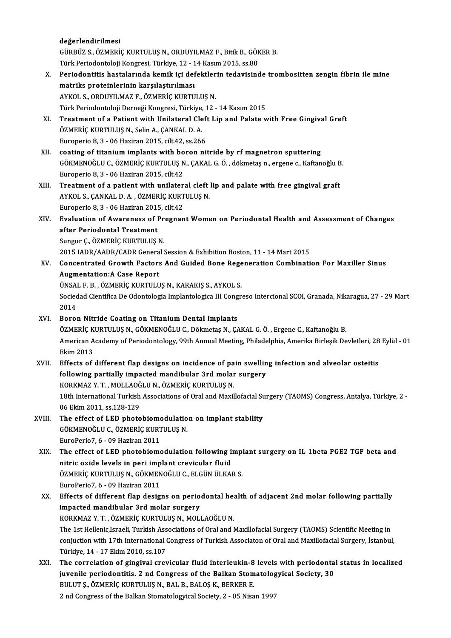değerlendirilmesi

değerlendirilmesi<br>GÜRBÜZ S., ÖZMERİÇ KURTULUŞ N., ORDUYILMAZ F., Bitik B., GÖKER B.<br>Türk Periodenteleji Kongresi Türkiye 12 - 14 Kesun 2015-se 80 değerlendirilmesi<br>GÜRBÜZ S., ÖZMERİÇ KURTULUŞ N., ORDUYILMAZ F., Bitik B., GÖK<br>Türk Periodontoloji Kongresi, Türkiye, 12 - 14 Kasım 2015, ss.80<br>Periodontitis bestalarında kamik isi defektlerin tedevisind

GÜRBÜZ S., ÖZMERİÇ KURTULUŞ N., ORDUYILMAZ F., Bitik B., GÖKER B.<br>Türk Periodontoloji Kongresi, Türkiye, 12 - 14 Kasım 2015, ss.80<br>X. Periodontitis hastalarında kemik içi defektlerin tedavisinde trombositten zengin fibrin Türk Periodontoloji Kongresi, Türkiye, 12 - 1<br>Periodontitis hastalarında kemik içi def<br>matriks proteinlerinin karşılaştırılması<br>AYKOL S. OPDIIVILMAZ E. ÖZMERİÇ KURTU matriks proteinlerinin karşılaştırılması<br>AYKOL S., ORDUYILMAZ F., ÖZMERİÇ KURTULUŞ N. matriks proteinlerinin karşılaştırılması<br>AYKOL S., ORDUYILMAZ F., ÖZMERİÇ KURTULUŞ N.<br>Türk Periodontoloji Derneği Kongresi, Türkiye, 12 - 14 Kasım 2015<br>Treatment of a Batiant with Unilateral Cleft Lin and Balata u XI. Treatment of a Patient with Unilateral Cleft Lip and Palate with Free Gingival Greft ÖZMERIC KURTULUS N., Selin A., CANKAL D. A. Türk Periodontoloji Derneği Kongresi, Türkiye,<br>Treatment of a Patient with Unilateral Cle<br>ÖZMERİÇ KURTULUŞ N., Selin A., ÇANKAL D. A.<br>Furonerio 8.3., 06 Hariran 2015, cilt 42.58.266 Europerio 8, 3 - 06 Haziran 2015, cilt.42, ss.266 ÖZMERİÇ KURTULUŞ N., Selin A., ÇANKAL D. A.<br>Europerio 8, 3 - 06 Haziran 2015, cilt.42, ss.266<br>XII. coating of titanium implants with boron nitride by rf magnetron sputtering<br>CÖYMENOČLU C. ÖZMERİC YURTULUS N. CAKAL C. Ö. dö GÖKMENOĞLU C., ÖZMERİÇ KURTULUŞ N., ÇAKAL G. Ö. , dökmetaş n., ergene c., Kaftanoğlu B.<br>Europerio 8, 3 - 06 Haziran 2015, cilt.42 coating of titanium implants with bo<br>GÖKMENOĞLU C., ÖZMERİÇ KURTULUŞ N<br>Europerio 8,3 - 06 Haziran 2015, cilt.42<br>Treatment of a natient with unilater GÖKMENOĞLU C., ÖZMERİÇ KURTULUŞ N., ÇAKAL G. Ö. , dökmetaş n., ergene c., Kaftanoğlu B<br>Europerio 8, 3 - 06 Haziran 2015, cilt.42<br>XIII. Treatment of a patient with unilateral cleft lip and palate with free gingival graf Europerio 8, 3 - 06 Haziran 2015, cilt.42<br>Treatment of a patient with unilateral cleft<br>AYKOL S., ÇANKAL D. A. , ÖZMERİÇ KURTULUŞ N.<br>Europerio 8, 3, .06 Haziran 2015, cilt.42. Treatment of a patient with unilater<br>AYKOL S., ÇANKAL D. A. , ÖZMERİÇ KURT<br>Europerio 8, 3 - 06 Haziran 2015, cilt.42<br>Evaluation of Avvaraness of Presnan AYKOL S., ÇANKAL D. A. , ÖZMERİÇ KURTULUŞ N.<br>Europerio 8, 3 - 06 Haziran 2015, cilt.42<br>XIV. Evaluation of Awareness of Pregnant Women on Periodontal Health and Assessment of Changes<br> Europerio 8, 3 - 06 Haziran 201!<br>Evaluation of Awareness of I<br>after Periodontal Treatment<br>Sungur G. ÖZMEDİC KUPTULUS Evaluation of Awareness of Pr<br>after Periodontal Treatment<br>Sungur Ç., ÖZMERİÇ KURTULUŞ N.<br>2015 JADR (AADR (CADR Ceneral i after Periodontal Treatment<br>Sungur Ç., ÖZMERİÇ KURTULUŞ N.<br>2015 IADR/AADR/CADR General Session & Exhibition Boston, 11 - 14 Mart 2015<br>Consentrated Creuth Festars And Cuided Bone Beseneration Combinati Sungur Ç., ÖZMERİÇ KURTULUŞ N.<br>2015 IADR/AADR/CADR General Session & Exhibition Boston, 11 - 14 Mart 2015<br>XV. Concentrated Growth Factors And Guided Bone Regeneration Combination For Maxiller Sinus<br>Augmentation:A Case Repo 2015 IADR/AADR/CADR Genera<br>Concentrated Growth Factors<br>Augmentation:A Case Report<br>UNSALE R. ÖZMERIC KURTULU Concentrated Growth Factors And Guided Bone Rege<br>Augmentation:A Case Report<br>ÜNSAL F. B. , ÖZMERİÇ KURTULUŞ N., KARAKIŞ S., AYKOL S.<br>Secieded Giontifice De Odentelegia Implentelegice III Cengr Augmentation:A Case Report<br>ÜNSAL F. B. , ÖZMERİÇ KURTULUŞ N., KARAKIŞ S., AYKOL S.<br>Sociedad Cientifica De Odontologia Implantologica III Congreso Intercional SCOI, Granada, Nikaragua, 27 - 29 Mart<br>2014 ÜNSA<br>Socied<br>2014<br>Borer Sociedad Cientifica De Odontologia Implantologica III Cong<br>2014<br>XVI. Boron Nitride Coating on Titanium Dental Implants<br>ÖZMERLE KURTULUS N. CÖKMENOĞLU C. Dölmetes N. C. 2014<br>Boron Nitride Coating on Titanium Dental Implants<br>ÖZMERİÇ KURTULUŞ N., GÖKMENOĞLU C., Dökmetaş N., ÇAKAL G. Ö. , Ergene C., Kaftanoğlu B.<br>American Academy of Beriodentelegy. 99th Annual Meeting, Philodelphia, Amerika Boron Nitride Coating on Titanium Dental Implants<br>ÖZMERİÇ KURTULUŞ N., GÖKMENOĞLU C., Dökmetaş N., ÇAKAL G. Ö. , Ergene C., Kaftanoğlu B.<br>American Academy of Periodontology, 99th Annual Meeting, Philadelphia, Amerika Birle ÖZMERİÇ K<br>American A<br>Ekim 2013<br>Effecte of XVII. Effects of different flap designs on incidence of pain swelling infection and alveolar osteitis Ekim 2013<br>Effects of different flap designs on incidence of pain swellin<br>following partially impacted mandibular 3rd molar surgery<br>KORKMAZ V T. MOLLAQČLU N. ÖZMERIC KURTULUS N Effects of different flap designs on incidence of pa<br>following partially impacted mandibular 3rd molar<br>KORKMAZ Y.T., MOLLAOĞLU N., ÖZMERİÇ KURTULUŞ N.<br>19th International Turkish Assosiations of Oral and Movil 18th International Turkish Associations of Oral and Maxillofacial Surgery (TAOMS) Congress, Antalya, Türkiye, 2 -<br>06 Ekim 2011, ss.128-129 KORKMAZ Y. T., MOLLAOĞLU N., ÖZMERİÇ KURTULUŞ N. 18th International Turkish Associations of Oral and Maxillofacial Su<br>06 Ekim 2011, ss.128-129<br>XVIII. The effect of LED photobiomodulation on implant stability 06 Ekim 2011, ss.128-129<br>The effect of LED photobiomodulatio<br>GÖKMENOĞLU C., ÖZMERİÇ KURTULUŞ N. The effect of LED photobiome<br>GÖKMENOĞLU C., ÖZMERİÇ KURT<br>EuroPerio7, 6 - 09 Haziran 2011<br>The effect of LED photobiome GÖKMENOĞLU C., ÖZMERİÇ KURTULUŞ N.<br>EuroPerio7, 6 - 09 Haziran 2011<br>XIX. The effect of LED photobiomodulation following implant surgery on IL 1beta PGE2 TGF beta and<br> nitris exide levels in peri implant crevicula EuroPerio7, 6 - 09 Haziran 2011<br>The effect of LED photobiomodulation following i<br>nitric oxide levels in peri implant crevicular fluid<br>ÖZMERİC KURTULUS N. CÖKMENOČLU C. ELCÜNÜLKAL The effect of LED photobiomodulation following implantic oxide levels in peri implant crevicular fluid<br>ÖZMERİÇ KURTULUŞ N., GÖKMENOĞLU C., ELGÜN ÜLKAR S.<br>EuroPeriez é. 00 Heriran 2011 nitric oxide levels in peri implant crevicular fluid<br>ÖZMERİÇ KURTULUŞ N., GÖKMENOĞLU C., ELGÜN ÜLKAR S.<br>EuroPerio7, 6 - 09 Haziran 2011 ÖZMERİÇ KURTULUŞ N., GÖKMENOĞLU C., ELGÜN ÜLKAR S.<br>EuroPerio7, 6 - 09 Haziran 2011<br>XX. Effects of different flap designs on periodontal health of adjacent 2nd molar following partially<br>impested mandibular <sup>3</sup>rd molar surso EuroPerio7, 6 - 09 Haziran 2011<br>Effects of different flap designs on perio<br>impacted mandibular 3rd molar surgery<br>KORKMAZ V T. ÖZMERİC KURTULUS N. MOLI Effects of different flap designs on periodontal head<br>impacted mandibular 3rd molar surgery<br>KORKMAZ Y.T.,ÖZMERİÇ KURTULUŞ N., MOLLAOĞLU N.<br>The 1st Hellenis Israeli Turkish Associations of Oral and l impacted mandibular 3rd molar surgery<br>KORKMAZ Y. T. , ÖZMERİÇ KURTULUŞ N., MOLLAOĞLU N.<br>The 1st Hellenic,Israeli, Turkish Associations of Oral and Maxillofacial Surgery (TAOMS) Scientific Meeting in conjuction with 17th International Congress of Turkish Associaton of Oral and Maxillofacial Surgery, İstanbul, Türkiye,14 -17Ekim2010, ss.107 conjuction with 17th International Congress of Turkish Associaton of Oral and Maxillofacial Surgery, İstanbul,<br>Türkiye, 14 - 17 Ekim 2010, ss.107<br>XXI. The correlation of gingival crevicular fluid interleukin-8 levels with Türkiye, 14 - 17 Ekim 2010, ss.107<br>The correlation of gingival crevicular fluid interleukin-8 levels with periodonta<br>juvenile periodontitis. 2 nd Congress of the Balkan Stomatologyical Society, 30<br>PULUES, ÖZMERIC KURTULUS The correlation of gingival crevicular fluid interleukin-8<br>juvenile periodontitis. 2 nd Congress of the Balkan Stom<br>BULUT Ş., ÖZMERİÇ KURTULUŞ N., BAL B., BALOŞ K., BERKER E.<br>2 nd Congress of the Balkan Stamatalogyisel Sos juvenile periodontitis. 2 nd Congress of the Balkan Stomatologyical Society, 30<br>BULUT Ș., ÖZMERİÇ KURTULUŞ N., BAL B., BALOŞ K., BERKER E.<br>2 nd Congress of the Balkan Stomatologyical Society, 2 - 05 Nisan 1997